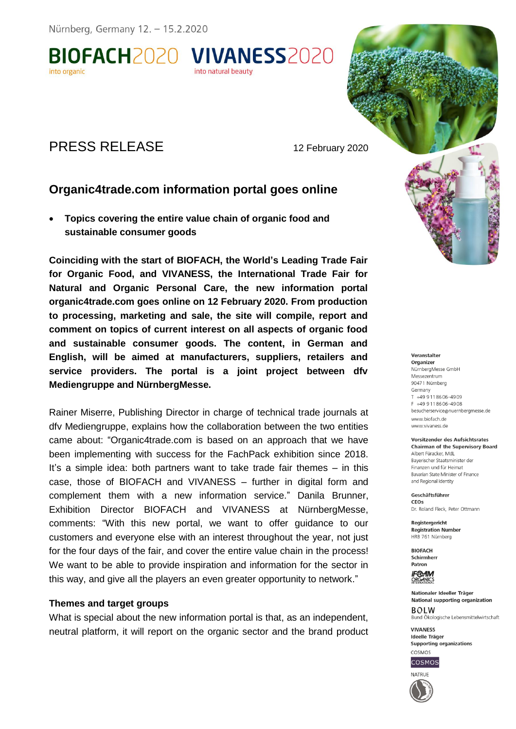Nürnberg, Germany 12. - 15.2.2020

BIOFACH2020 VIVANESS2020

# PRESS RELEASE 12 February 2020

## **Organic4trade.com information portal goes online**

into natural beauty

 **Topics covering the entire value chain of organic food and sustainable consumer goods** 

**Coinciding with the start of BIOFACH, the World's Leading Trade Fair for Organic Food, and VIVANESS, the International Trade Fair for Natural and Organic Personal Care, the new information portal organic4trade.com goes online on 12 February 2020. From production to processing, marketing and sale, the site will compile, report and comment on topics of current interest on all aspects of organic food and sustainable consumer goods. The content, in German and English, will be aimed at manufacturers, suppliers, retailers and service providers. The portal is a joint project between dfv Mediengruppe and NürnbergMesse.** 

Rainer Miserre, Publishing Director in charge of technical trade journals at dfv Mediengruppe, explains how the collaboration between the two entities came about: "Organic4trade.com is based on an approach that we have been implementing with success for the FachPack exhibition since 2018. It's a simple idea: both partners want to take trade fair themes – in this case, those of BIOFACH and VIVANESS – further in digital form and complement them with a new information service." Danila Brunner, Exhibition Director BIOFACH and VIVANESS at NürnbergMesse, comments: "With this new portal, we want to offer guidance to our customers and everyone else with an interest throughout the year, not just for the four days of the fair, and cover the entire value chain in the process! We want to be able to provide inspiration and information for the sector in this way, and give all the players an even greater opportunity to network."

#### **Themes and target groups**

What is special about the new information portal is that, as an independent, neutral platform, it will report on the organic sector and the brand product

#### NürnberaMesse GmbH Messezentrum 90471 Nürnberg Germany T +49 9118606-4909 F +49 9118606-4908 besucherservice@nuernbergmesse.de www.biofach.de

Veranstalter Organizer

www.vivaness.de

Vorsitzender des Aufsichtsrates **Chairman of the Supervisory Board** Albert Füracker, MdL Baverischer Staatsminister der

Finanzen und für Heimat Bavarian State Minister of Finance and Regional Identity

Geschäftsführer CEOS Dr. Roland Fleck, Peter Ottmann

Reaisteraericht **Registration Number** HRB 761 Nürnberg

**BIOFACH** Schirmherr Patron

**IF®AM** ORGANICS

Nationaler Ideeller Träger **National supporting organization BOLW** Bund Ökologische Lebensmittelwirtschaft

**VIVANESS Ideelle Träger Supporting organizations** COSMOS



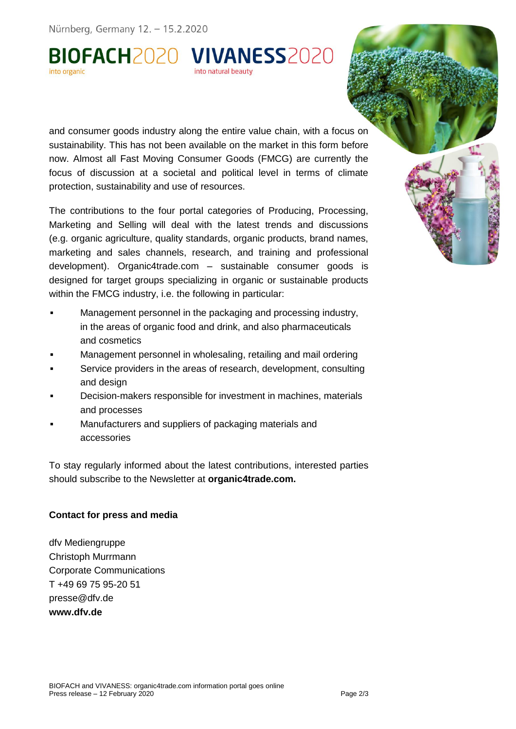Nürnberg, Germany 12. - 15.2.2020

BIOFACH2020 VIVANESS2020

and consumer goods industry along the entire value chain, with a focus on sustainability. This has not been available on the market in this form before now. Almost all Fast Moving Consumer Goods (FMCG) are currently the focus of discussion at a societal and political level in terms of climate protection, sustainability and use of resources.

The contributions to the four portal categories of Producing, Processing, Marketing and Selling will deal with the latest trends and discussions (e.g. organic agriculture, quality standards, organic products, brand names, marketing and sales channels, research, and training and professional development). Organic4trade.com – [sustainable consumer goods is](https://www.packaging-360.com/) designed for target groups specializing in organic or sustainable products within the FMCG industry, i.e. the following in particular:

- **Management personnel in the packaging and processing industry,** in the areas of organic food and drink, and also pharmaceuticals and cosmetics
- Management personnel in wholesaling, retailing and mail ordering
- Service providers in the areas of research, development, consulting and design
- Decision-makers responsible for investment in machines, materials and processes
- Manufacturers and suppliers of packaging materials and accessories

To stay regularly informed about the latest contributions, interested parties should subscribe to the Newsletter at **organic4trade.com.** 

### **Contact for press and media**

dfv Mediengruppe Christoph Murrmann Corporate Communications T +49 69 75 95-20 51 [presse@dfv.de](mailto:presse@dfv.de) **www.dfv.de**